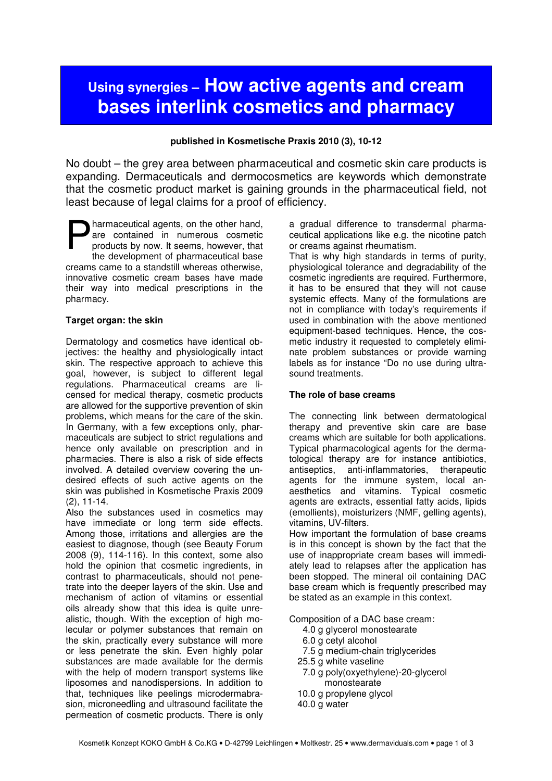# **Using synergies – How active agents and cream bases interlink cosmetics and pharmacy**

### **published in Kosmetische Praxis 2010 (3), 10-12**

No doubt – the grey area between pharmaceutical and cosmetic skin care products is expanding. Dermaceuticals and dermocosmetics are keywords which demonstrate that the cosmetic product market is gaining grounds in the pharmaceutical field, not least because of legal claims for a proof of efficiency.

harmaceutical agents, on the other hand, are contained in numerous cosmetic products by now. It seems, however, that the development of pharmaceutical base creams came to a standstill whereas otherwise, innovative cosmetic cream bases have made their way into medical prescriptions in the pharmacy. P

#### **Target organ: the skin**

Dermatology and cosmetics have identical objectives: the healthy and physiologically intact skin. The respective approach to achieve this goal, however, is subject to different legal regulations. Pharmaceutical creams are licensed for medical therapy, cosmetic products are allowed for the supportive prevention of skin problems, which means for the care of the skin. In Germany, with a few exceptions only, pharmaceuticals are subject to strict regulations and hence only available on prescription and in pharmacies. There is also a risk of side effects involved. A detailed overview covering the undesired effects of such active agents on the skin was published in Kosmetische Praxis 2009 (2), 11-14.

Also the substances used in cosmetics may have immediate or long term side effects. Among those, irritations and allergies are the easiest to diagnose, though (see Beauty Forum 2008 (9), 114-116). In this context, some also hold the opinion that cosmetic ingredients, in contrast to pharmaceuticals, should not penetrate into the deeper layers of the skin. Use and mechanism of action of vitamins or essential oils already show that this idea is quite unrealistic, though. With the exception of high molecular or polymer substances that remain on the skin, practically every substance will more or less penetrate the skin. Even highly polar substances are made available for the dermis with the help of modern transport systems like liposomes and nanodispersions. In addition to that, techniques like peelings microdermabrasion, microneedling and ultrasound facilitate the permeation of cosmetic products. There is only

a gradual difference to transdermal pharmaceutical applications like e.g. the nicotine patch or creams against rheumatism.

That is why high standards in terms of purity, physiological tolerance and degradability of the cosmetic ingredients are required. Furthermore, it has to be ensured that they will not cause systemic effects. Many of the formulations are not in compliance with today's requirements if used in combination with the above mentioned equipment-based techniques. Hence, the cosmetic industry it requested to completely eliminate problem substances or provide warning labels as for instance "Do no use during ultrasound treatments.

#### **The role of base creams**

The connecting link between dermatological therapy and preventive skin care are base creams which are suitable for both applications. Typical pharmacological agents for the dermatological therapy are for instance antibiotics, antiseptics, anti-inflammatories, therapeutic agents for the immune system, local anaesthetics and vitamins. Typical cosmetic agents are extracts, essential fatty acids, lipids (emollients), moisturizers (NMF, gelling agents), vitamins, UV-filters.

How important the formulation of base creams is in this concept is shown by the fact that the use of inappropriate cream bases will immediately lead to relapses after the application has been stopped. The mineral oil containing DAC base cream which is frequently prescribed may be stated as an example in this context.

Composition of a DAC base cream:

- 4.0 g glycerol monostearate
- 6.0 g cetyl alcohol
- 7.5 g medium-chain triglycerides
- 25.5 g white vaseline
- 7.0 g poly(oxyethylene)-20-glycerol monostearate
- 10.0 g propylene glycol
- 40.0 g water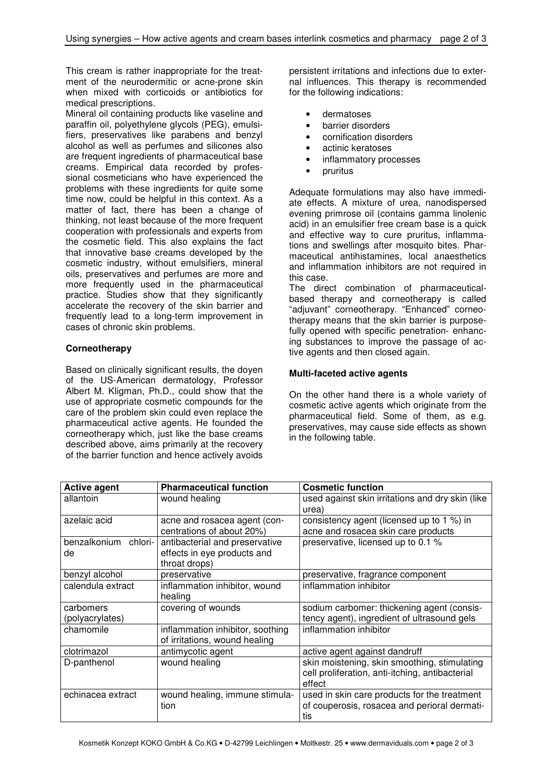This cream is rather inappropriate for the treatment of the neurodermitic or acne-prone skin when mixed with corticoids or antibiotics for medical prescriptions.

Mineral oil containing products like vaseline and paraffin oil, polyethylene glycols (PEG), emulsifiers, preservatives like parabens and benzyl alcohol as well as perfumes and silicones also are frequent ingredients of pharmaceutical base creams. Empirical data recorded by professional cosmeticians who have experienced the problems with these ingredients for quite some time now, could be helpful in this context. As a matter of fact, there has been a change of thinking, not least because of the more frequent cooperation with professionals and experts from the cosmetic field. This also explains the fact that innovative base creams developed by the cosmetic industry, without emulsifiers, mineral oils, preservatives and perfumes are more and more frequently used in the pharmaceutical practice. Studies show that they significantly accelerate the recovery of the skin barrier and frequently lead to a long-term improvement in cases of chronic skin problems.

## **Corneotherapy**

Based on clinically significant results, the doyen of the US-American dermatology, Professor Albert M. Kligman, Ph.D., could show that the use of appropriate cosmetic compounds for the care of the problem skin could even replace the pharmaceutical active agents. He founded the corneotherapy which, just like the base creams described above, aims primarily at the recovery of the barrier function and hence actively avoids persistent irritations and infections due to external influences. This therapy is recommended for the following indications:

- dermatoses
- barrier disorders
- cornification disorders
- actinic keratoses
- inflammatory processes
- pruritus

Adequate formulations may also have immediate effects. A mixture of urea, nanodispersed evening primrose oil (contains gamma linolenic acid) in an emulsifier free cream base is a quick and effective way to cure pruritus, inflammations and swellings after mosquito bites. Pharmaceutical antihistamines, local anaesthetics and inflammation inhibitors are not required in this case.

The direct combination of pharmaceuticalbased therapy and corneotherapy is called "adjuvant" corneotherapy. "Enhanced" corneotherapy means that the skin barrier is purposefully opened with specific penetration- enhancing substances to improve the passage of active agents and then closed again.

#### **Multi-faceted active agents**

On the other hand there is a whole variety of cosmetic active agents which originate from the pharmaceutical field. Some of them, as e.g. preservatives, may cause side effects as shown in the following table.

| <b>Active agent</b>  | <b>Pharmaceutical function</b>   | <b>Cosmetic function</b>                         |
|----------------------|----------------------------------|--------------------------------------------------|
| allantoin            | wound healing                    | used against skin irritations and dry skin (like |
|                      |                                  | urea)                                            |
| azelaic acid         | acne and rosacea agent (con-     | consistency agent (licensed up to 1 %) in        |
|                      | centrations of about 20%)        | acne and rosacea skin care products              |
| benzalkonium chlori- | antibacterial and preservative   | preservative, licensed up to 0.1 %               |
| de                   | effects in eye products and      |                                                  |
|                      | throat drops)                    |                                                  |
| benzyl alcohol       | preservative                     | preservative, fragrance component                |
| calendula extract    | inflammation inhibitor, wound    | inflammation inhibitor                           |
|                      | healing                          |                                                  |
| carbomers            | covering of wounds               | sodium carbomer: thickening agent (consis-       |
| (polyacrylates)      |                                  | tency agent), ingredient of ultrasound gels      |
| chamomile            | inflammation inhibitor, soothing | inflammation inhibitor                           |
|                      | of irritations, wound healing    |                                                  |
| clotrimazol          | antimycotic agent                | active agent against dandruff                    |
| D-panthenol          | wound healing                    | skin moistening, skin smoothing, stimulating     |
|                      |                                  | cell proliferation, anti-itching, antibacterial  |
|                      |                                  | effect                                           |
| echinacea extract    | wound healing, immune stimula-   | used in skin care products for the treatment     |
|                      | tion                             | of couperosis, rosacea and perioral dermati-     |
|                      |                                  | tis                                              |